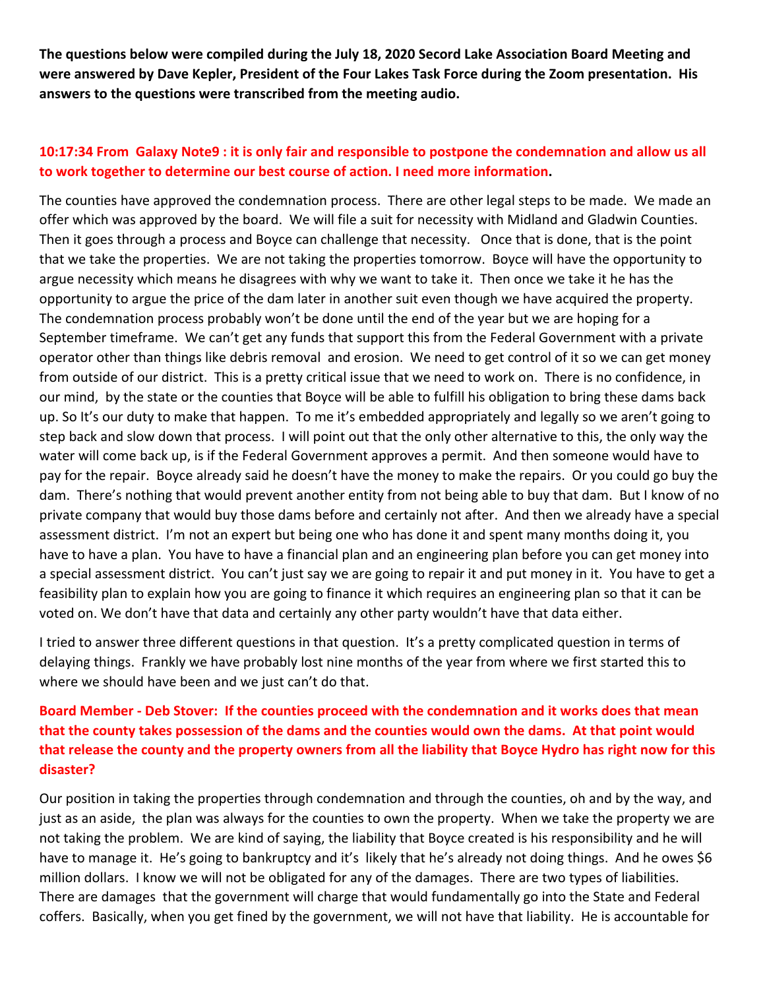**The questions below were compiled during the July 18, 2020 Secord Lake Association Board Meeting and were answered by Dave Kepler, President of the Four Lakes Task Force during the Zoom presentation. His answers to the questions were transcribed from the meeting audio.**

### **10:17:34 From Galaxy Note9 : it is only fair and responsible to postpone the condemnation and allow us all to work together to determine our best course of action. I need more information.**

The counties have approved the condemnation process. There are other legal steps to be made. We made an offer which was approved by the board. We will file a suit for necessity with Midland and Gladwin Counties. Then it goes through a process and Boyce can challenge that necessity. Once that is done, that is the point that we take the properties. We are not taking the properties tomorrow. Boyce will have the opportunity to argue necessity which means he disagrees with why we want to take it. Then once we take it he has the opportunity to argue the price of the dam later in another suit even though we have acquired the property. The condemnation process probably won't be done until the end of the year but we are hoping for a September timeframe. We can't get any funds that support this from the Federal Government with a private operator other than things like debris removal and erosion. We need to get control of it so we can get money from outside of our district. This is a pretty critical issue that we need to work on. There is no confidence, in our mind, by the state or the counties that Boyce will be able to fulfill his obligation to bring these dams back up. So It's our duty to make that happen. To me it's embedded appropriately and legally so we aren't going to step back and slow down that process. I will point out that the only other alternative to this, the only way the water will come back up, is if the Federal Government approves a permit. And then someone would have to pay for the repair. Boyce already said he doesn't have the money to make the repairs. Or you could go buy the dam. There's nothing that would prevent another entity from not being able to buy that dam. But I know of no private company that would buy those dams before and certainly not after. And then we already have a special assessment district. I'm not an expert but being one who has done it and spent many months doing it, you have to have a plan. You have to have a financial plan and an engineering plan before you can get money into a special assessment district. You can't just say we are going to repair it and put money in it. You have to get a feasibility plan to explain how you are going to finance it which requires an engineering plan so that it can be voted on. We don't have that data and certainly any other party wouldn't have that data either.

I tried to answer three different questions in that question. It's a pretty complicated question in terms of delaying things. Frankly we have probably lost nine months of the year from where we first started this to where we should have been and we just can't do that.

# **Board Member - Deb Stover: If the counties proceed with the condemnation and it works does that mean that the county takes possession of the dams and the counties would own the dams. At that point would that release the county and the property owners from all the liability that Boyce Hydro has right now for this disaster?**

Our position in taking the properties through condemnation and through the counties, oh and by the way, and just as an aside, the plan was always for the counties to own the property. When we take the property we are not taking the problem. We are kind of saying, the liability that Boyce created is his responsibility and he will have to manage it. He's going to bankruptcy and it's likely that he's already not doing things. And he owes \$6 million dollars. I know we will not be obligated for any of the damages. There are two types of liabilities. There are damages that the government will charge that would fundamentally go into the State and Federal coffers. Basically, when you get fined by the government, we will not have that liability. He is accountable for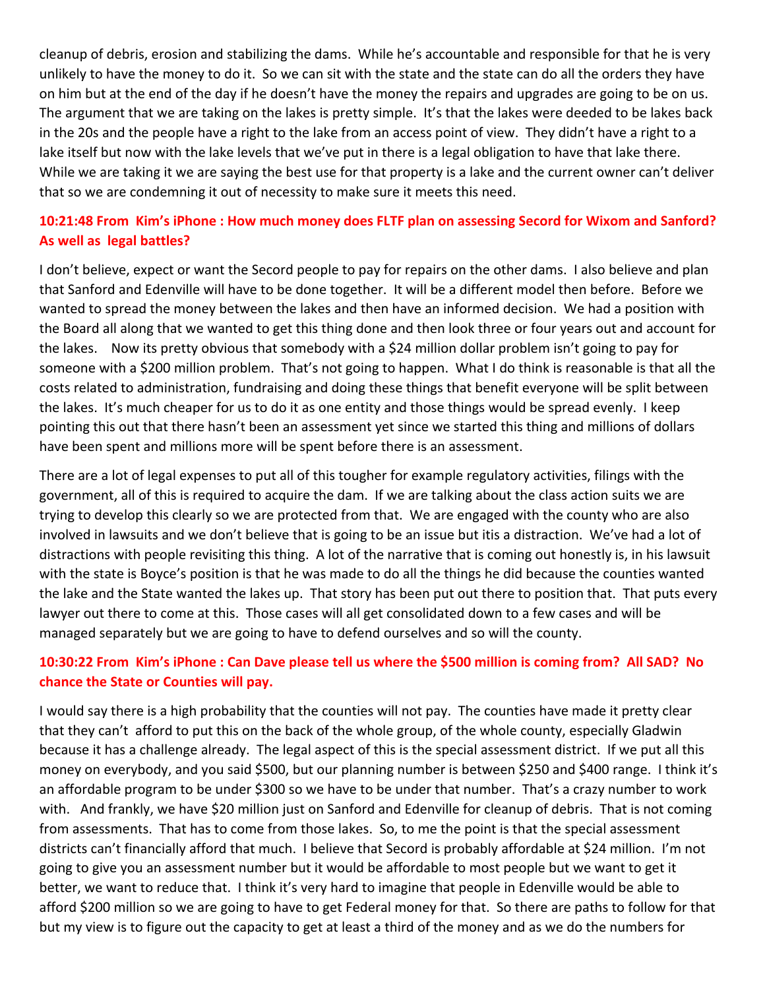cleanup of debris, erosion and stabilizing the dams. While he's accountable and responsible for that he is very unlikely to have the money to do it. So we can sit with the state and the state can do all the orders they have on him but at the end of the day if he doesn't have the money the repairs and upgrades are going to be on us. The argument that we are taking on the lakes is pretty simple. It's that the lakes were deeded to be lakes back in the 20s and the people have a right to the lake from an access point of view. They didn't have a right to a lake itself but now with the lake levels that we've put in there is a legal obligation to have that lake there. While we are taking it we are saying the best use for that property is a lake and the current owner can't deliver that so we are condemning it out of necessity to make sure it meets this need.

# **10:21:48 From Kim's iPhone : How much money does FLTF plan on assessing Secord for Wixom and Sanford? As well as legal battles?**

I don't believe, expect or want the Secord people to pay for repairs on the other dams. I also believe and plan that Sanford and Edenville will have to be done together. It will be a different model then before. Before we wanted to spread the money between the lakes and then have an informed decision. We had a position with the Board all along that we wanted to get this thing done and then look three or four years out and account for the lakes. Now its pretty obvious that somebody with a \$24 million dollar problem isn't going to pay for someone with a \$200 million problem. That's not going to happen. What I do think is reasonable is that all the costs related to administration, fundraising and doing these things that benefit everyone will be split between the lakes. It's much cheaper for us to do it as one entity and those things would be spread evenly. I keep pointing this out that there hasn't been an assessment yet since we started this thing and millions of dollars have been spent and millions more will be spent before there is an assessment.

There are a lot of legal expenses to put all of this tougher for example regulatory activities, filings with the government, all of this is required to acquire the dam. If we are talking about the class action suits we are trying to develop this clearly so we are protected from that. We are engaged with the county who are also involved in lawsuits and we don't believe that is going to be an issue but itis a distraction. We've had a lot of distractions with people revisiting this thing. A lot of the narrative that is coming out honestly is, in his lawsuit with the state is Boyce's position is that he was made to do all the things he did because the counties wanted the lake and the State wanted the lakes up. That story has been put out there to position that. That puts every lawyer out there to come at this. Those cases will all get consolidated down to a few cases and will be managed separately but we are going to have to defend ourselves and so will the county.

### **10:30:22 From Kim's iPhone : Can Dave please tell us where the \$500 million is coming from? All SAD? No chance the State or Counties will pay.**

I would say there is a high probability that the counties will not pay. The counties have made it pretty clear that they can't afford to put this on the back of the whole group, of the whole county, especially Gladwin because it has a challenge already. The legal aspect of this is the special assessment district. If we put all this money on everybody, and you said \$500, but our planning number is between \$250 and \$400 range. I think it's an affordable program to be under \$300 so we have to be under that number. That's a crazy number to work with. And frankly, we have \$20 million just on Sanford and Edenville for cleanup of debris. That is not coming from assessments. That has to come from those lakes. So, to me the point is that the special assessment districts can't financially afford that much. I believe that Secord is probably affordable at \$24 million. I'm not going to give you an assessment number but it would be affordable to most people but we want to get it better, we want to reduce that. I think it's very hard to imagine that people in Edenville would be able to afford \$200 million so we are going to have to get Federal money for that. So there are paths to follow for that but my view is to figure out the capacity to get at least a third of the money and as we do the numbers for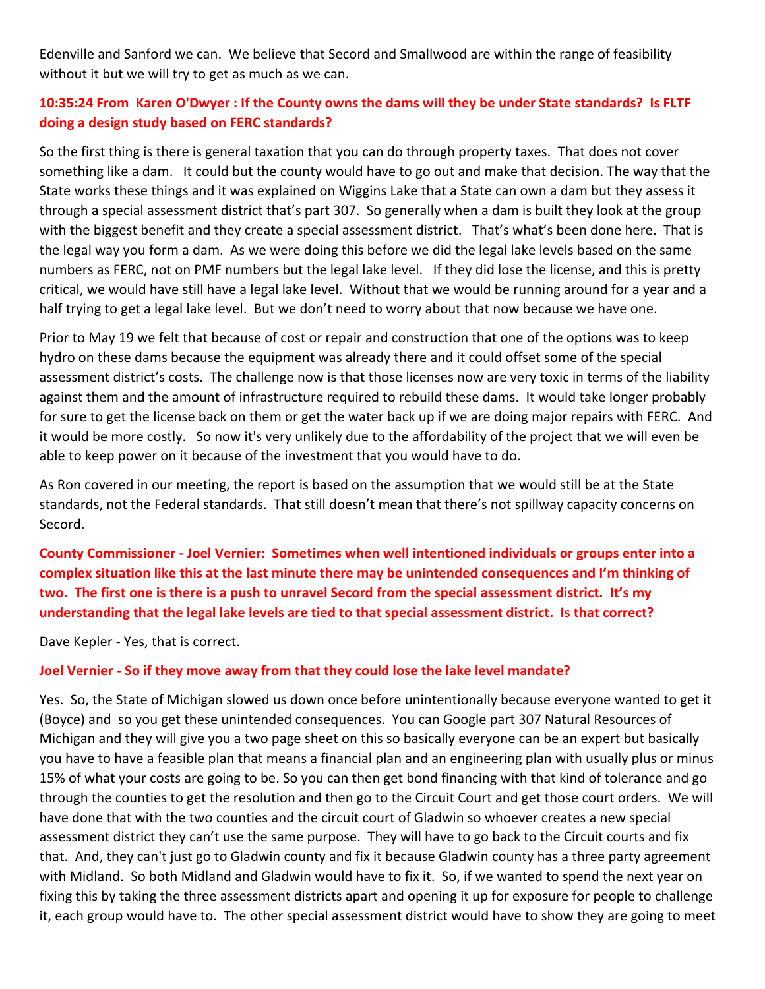Edenville and Sanford we can. We believe that Secord and Smallwood are within the range of feasibility without it but we will try to get as much as we can.

## **10:35:24 From Karen O'Dwyer : If the County owns the dams will they be under State standards? Is FLTF doing a design study based on FERC standards?**

So the first thing is there is general taxation that you can do through property taxes. That does not cover something like a dam. It could but the county would have to go out and make that decision. The way that the State works these things and it was explained on Wiggins Lake that a State can own a dam but they assess it through a special assessment district that's part 307. So generally when a dam is built they look at the group with the biggest benefit and they create a special assessment district. That's what's been done here. That is the legal way you form a dam. As we were doing this before we did the legal lake levels based on the same numbers as FERC, not on PMF numbers but the legal lake level. If they did lose the license, and this is pretty critical, we would have still have a legal lake level. Without that we would be running around for a year and a half trying to get a legal lake level. But we don't need to worry about that now because we have one.

Prior to May 19 we felt that because of cost or repair and construction that one of the options was to keep hydro on these dams because the equipment was already there and it could offset some of the special assessment district's costs. The challenge now is that those licenses now are very toxic in terms of the liability against them and the amount of infrastructure required to rebuild these dams. It would take longer probably for sure to get the license back on them or get the water back up if we are doing major repairs with FERC. And it would be more costly. So now it's very unlikely due to the affordability of the project that we will even be able to keep power on it because of the investment that you would have to do.

As Ron covered in our meeting, the report is based on the assumption that we would still be at the State standards, not the Federal standards. That still doesn't mean that there's not spillway capacity concerns on Secord.

**County Commissioner - Joel Vernier: Sometimes when well intentioned individuals or groups enter into a complex situation like this at the last minute there may be unintended consequences and I'm thinking of two. The first one is there is a push to unravel Secord from the special assessment district. It's my understanding that the legal lake levels are tied to that special assessment district. Is that correct?**

Dave Kepler - Yes, that is correct.

#### **Joel Vernier - So if they move away from that they could lose the lake level mandate?**

Yes. So, the State of Michigan slowed us down once before unintentionally because everyone wanted to get it (Boyce) and so you get these unintended consequences. You can Google part 307 Natural Resources of Michigan and they will give you a two page sheet on this so basically everyone can be an expert but basically you have to have a feasible plan that means a financial plan and an engineering plan with usually plus or minus 15% of what your costs are going to be. So you can then get bond financing with that kind of tolerance and go through the counties to get the resolution and then go to the Circuit Court and get those court orders. We will have done that with the two counties and the circuit court of Gladwin so whoever creates a new special assessment district they can't use the same purpose. They will have to go back to the Circuit courts and fix that. And, they can't just go to Gladwin county and fix it because Gladwin county has a three party agreement with Midland. So both Midland and Gladwin would have to fix it. So, if we wanted to spend the next year on fixing this by taking the three assessment districts apart and opening it up for exposure for people to challenge it, each group would have to. The other special assessment district would have to show they are going to meet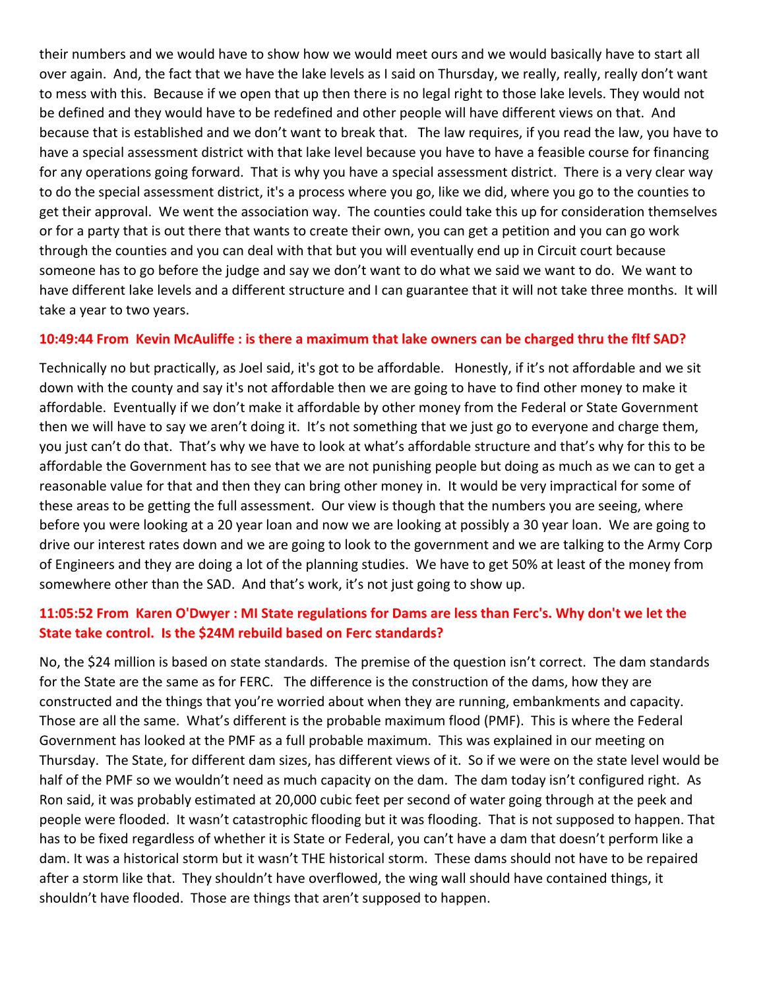their numbers and we would have to show how we would meet ours and we would basically have to start all over again. And, the fact that we have the lake levels as I said on Thursday, we really, really, really don't want to mess with this. Because if we open that up then there is no legal right to those lake levels. They would not be defined and they would have to be redefined and other people will have different views on that. And because that is established and we don't want to break that. The law requires, if you read the law, you have to have a special assessment district with that lake level because you have to have a feasible course for financing for any operations going forward. That is why you have a special assessment district. There is a very clear way to do the special assessment district, it's a process where you go, like we did, where you go to the counties to get their approval. We went the association way. The counties could take this up for consideration themselves or for a party that is out there that wants to create their own, you can get a petition and you can go work through the counties and you can deal with that but you will eventually end up in Circuit court because someone has to go before the judge and say we don't want to do what we said we want to do. We want to have different lake levels and a different structure and I can guarantee that it will not take three months. It will take a year to two years.

#### **10:49:44 From Kevin McAuliffe : is there a maximum that lake owners can be charged thru the fltf SAD?**

Technically no but practically, as Joel said, it's got to be affordable. Honestly, if it's not affordable and we sit down with the county and say it's not affordable then we are going to have to find other money to make it affordable. Eventually if we don't make it affordable by other money from the Federal or State Government then we will have to say we aren't doing it. It's not something that we just go to everyone and charge them, you just can't do that. That's why we have to look at what's affordable structure and that's why for this to be affordable the Government has to see that we are not punishing people but doing as much as we can to get a reasonable value for that and then they can bring other money in. It would be very impractical for some of these areas to be getting the full assessment. Our view is though that the numbers you are seeing, where before you were looking at a 20 year loan and now we are looking at possibly a 30 year loan. We are going to drive our interest rates down and we are going to look to the government and we are talking to the Army Corp of Engineers and they are doing a lot of the planning studies. We have to get 50% at least of the money from somewhere other than the SAD. And that's work, it's not just going to show up.

### **11:05:52 From Karen O'Dwyer : MI State regulations for Dams are less than Ferc's. Why don't we let the State take control. Is the \$24M rebuild based on Ferc standards?**

No, the \$24 million is based on state standards. The premise of the question isn't correct. The dam standards for the State are the same as for FERC. The difference is the construction of the dams, how they are constructed and the things that you're worried about when they are running, embankments and capacity. Those are all the same. What's different is the probable maximum flood (PMF). This is where the Federal Government has looked at the PMF as a full probable maximum. This was explained in our meeting on Thursday. The State, for different dam sizes, has different views of it. So if we were on the state level would be half of the PMF so we wouldn't need as much capacity on the dam. The dam today isn't configured right. As Ron said, it was probably estimated at 20,000 cubic feet per second of water going through at the peek and people were flooded. It wasn't catastrophic flooding but it was flooding. That is not supposed to happen. That has to be fixed regardless of whether it is State or Federal, you can't have a dam that doesn't perform like a dam. It was a historical storm but it wasn't THE historical storm. These dams should not have to be repaired after a storm like that. They shouldn't have overflowed, the wing wall should have contained things, it shouldn't have flooded. Those are things that aren't supposed to happen.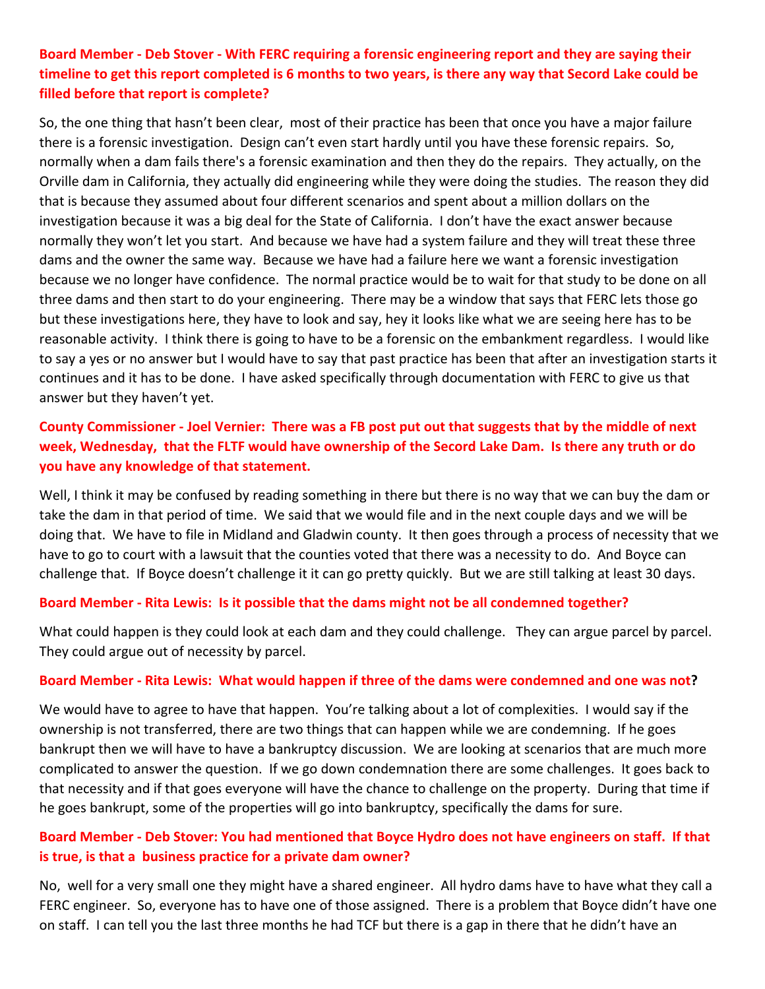## **Board Member - Deb Stover - With FERC requiring a forensic engineering report and they are saying their timeline to get this report completed is 6 months to two years, is there any way that Secord Lake could be filled before that report is complete?**

So, the one thing that hasn't been clear, most of their practice has been that once you have a major failure there is a forensic investigation. Design can't even start hardly until you have these forensic repairs. So, normally when a dam fails there's a forensic examination and then they do the repairs. They actually, on the Orville dam in California, they actually did engineering while they were doing the studies. The reason they did that is because they assumed about four different scenarios and spent about a million dollars on the investigation because it was a big deal for the State of California. I don't have the exact answer because normally they won't let you start. And because we have had a system failure and they will treat these three dams and the owner the same way. Because we have had a failure here we want a forensic investigation because we no longer have confidence. The normal practice would be to wait for that study to be done on all three dams and then start to do your engineering. There may be a window that says that FERC lets those go but these investigations here, they have to look and say, hey it looks like what we are seeing here has to be reasonable activity. I think there is going to have to be a forensic on the embankment regardless. I would like to say a yes or no answer but I would have to say that past practice has been that after an investigation starts it continues and it has to be done. I have asked specifically through documentation with FERC to give us that answer but they haven't yet.

# **County Commissioner - Joel Vernier: There was a FB post put out that suggests that by the middle of next week, Wednesday, that the FLTF would have ownership of the Secord Lake Dam. Is there any truth or do you have any knowledge of that statement.**

Well, I think it may be confused by reading something in there but there is no way that we can buy the dam or take the dam in that period of time. We said that we would file and in the next couple days and we will be doing that. We have to file in Midland and Gladwin county. It then goes through a process of necessity that we have to go to court with a lawsuit that the counties voted that there was a necessity to do. And Boyce can challenge that. If Boyce doesn't challenge it it can go pretty quickly. But we are still talking at least 30 days.

#### **Board Member - Rita Lewis: Is it possible that the dams might not be all condemned together?**

What could happen is they could look at each dam and they could challenge. They can argue parcel by parcel. They could argue out of necessity by parcel.

#### **Board Member - Rita Lewis: What would happen if three of the dams were condemned and one was not?**

We would have to agree to have that happen. You're talking about a lot of complexities. I would say if the ownership is not transferred, there are two things that can happen while we are condemning. If he goes bankrupt then we will have to have a bankruptcy discussion. We are looking at scenarios that are much more complicated to answer the question. If we go down condemnation there are some challenges. It goes back to that necessity and if that goes everyone will have the chance to challenge on the property. During that time if he goes bankrupt, some of the properties will go into bankruptcy, specifically the dams for sure.

### **Board Member - Deb Stover: You had mentioned that Boyce Hydro does not have engineers on staff. If that is true, is that a business practice for a private dam owner?**

No, well for a very small one they might have a shared engineer. All hydro dams have to have what they call a FERC engineer. So, everyone has to have one of those assigned. There is a problem that Boyce didn't have one on staff. I can tell you the last three months he had TCF but there is a gap in there that he didn't have an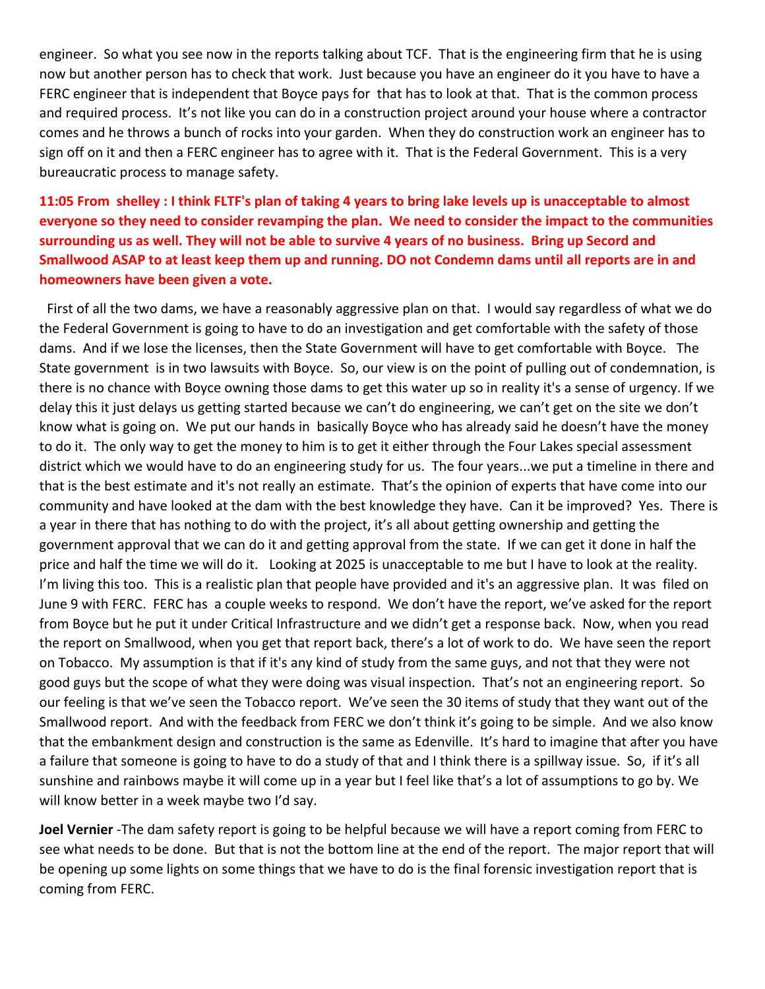engineer. So what you see now in the reports talking about TCF. That is the engineering firm that he is using now but another person has to check that work. Just because you have an engineer do it you have to have a FERC engineer that is independent that Boyce pays for that has to look at that. That is the common process and required process. It's not like you can do in a construction project around your house where a contractor comes and he throws a bunch of rocks into your garden. When they do construction work an engineer has to sign off on it and then a FERC engineer has to agree with it. That is the Federal Government. This is a very bureaucratic process to manage safety.

# **11:05 From shelley : I think FLTF's plan of taking 4 years to bring lake levels up is unacceptable to almost everyone so they need to consider revamping the plan. We need to consider the impact to the communities surrounding us as well. They will not be able to survive 4 years of no business. Bring up Secord and Smallwood ASAP to at least keep them up and running. DO not Condemn dams until all reports are in and homeowners have been given a vote.**

First of all the two dams, we have a reasonably aggressive plan on that. I would say regardless of what we do the Federal Government is going to have to do an investigation and get comfortable with the safety of those dams. And if we lose the licenses, then the State Government will have to get comfortable with Boyce. The State government is in two lawsuits with Boyce. So, our view is on the point of pulling out of condemnation, is there is no chance with Boyce owning those dams to get this water up so in reality it's a sense of urgency. If we delay this it just delays us getting started because we can't do engineering, we can't get on the site we don't know what is going on. We put our hands in basically Boyce who has already said he doesn't have the money to do it. The only way to get the money to him is to get it either through the Four Lakes special assessment district which we would have to do an engineering study for us. The four years...we put a timeline in there and that is the best estimate and it's not really an estimate. That's the opinion of experts that have come into our community and have looked at the dam with the best knowledge they have. Can it be improved? Yes. There is a year in there that has nothing to do with the project, it's all about getting ownership and getting the government approval that we can do it and getting approval from the state. If we can get it done in half the price and half the time we will do it. Looking at 2025 is unacceptable to me but I have to look at the reality. I'm living this too. This is a realistic plan that people have provided and it's an aggressive plan. It was filed on June 9 with FERC. FERC has a couple weeks to respond. We don't have the report, we've asked for the report from Boyce but he put it under Critical Infrastructure and we didn't get a response back. Now, when you read the report on Smallwood, when you get that report back, there's a lot of work to do. We have seen the report on Tobacco. My assumption is that if it's any kind of study from the same guys, and not that they were not good guys but the scope of what they were doing was visual inspection. That's not an engineering report. So our feeling is that we've seen the Tobacco report. We've seen the 30 items of study that they want out of the Smallwood report. And with the feedback from FERC we don't think it's going to be simple. And we also know that the embankment design and construction is the same as Edenville. It's hard to imagine that after you have a failure that someone is going to have to do a study of that and I think there is a spillway issue. So, if it's all sunshine and rainbows maybe it will come up in a year but I feel like that's a lot of assumptions to go by. We will know better in a week maybe two I'd say.

**Joel Vernier** -The dam safety report is going to be helpful because we will have a report coming from FERC to see what needs to be done. But that is not the bottom line at the end of the report. The major report that will be opening up some lights on some things that we have to do is the final forensic investigation report that is coming from FERC.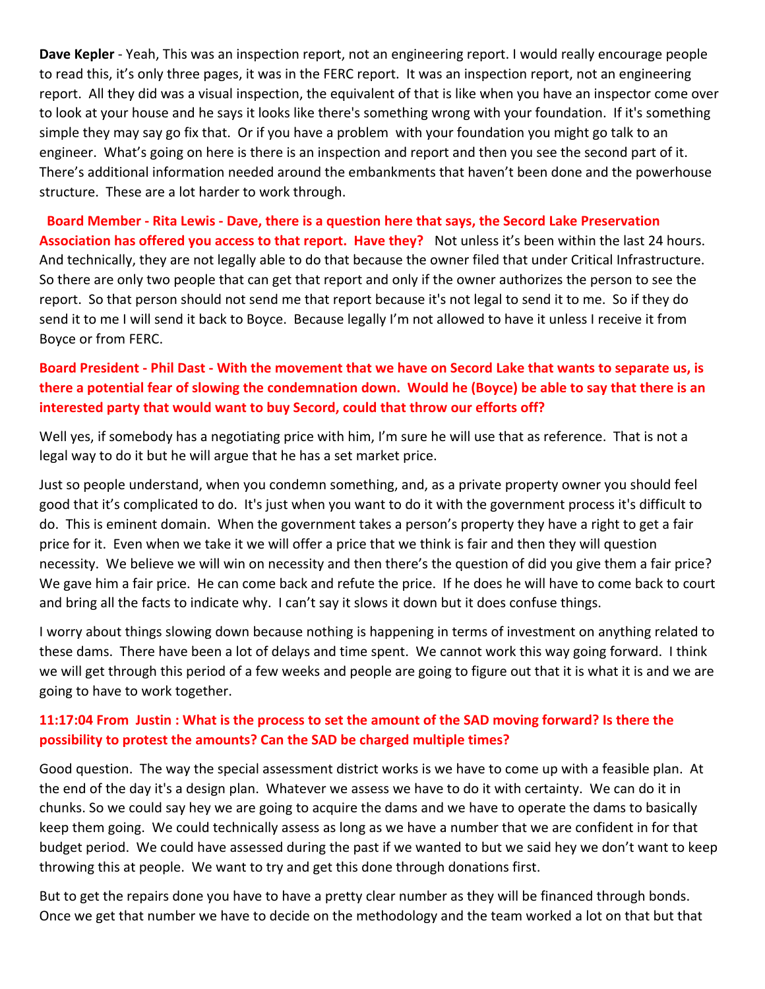**Dave Kepler** - Yeah, This was an inspection report, not an engineering report. I would really encourage people to read this, it's only three pages, it was in the FERC report. It was an inspection report, not an engineering report. All they did was a visual inspection, the equivalent of that is like when you have an inspector come over to look at your house and he says it looks like there's something wrong with your foundation. If it's something simple they may say go fix that. Or if you have a problem with your foundation you might go talk to an engineer. What's going on here is there is an inspection and report and then you see the second part of it. There's additional information needed around the embankments that haven't been done and the powerhouse structure. These are a lot harder to work through.

**Board Member - Rita Lewis - Dave, there is a question here that says, the Secord Lake Preservation Association has offered you access to that report. Have they?** Not unless it's been within the last 24 hours. And technically, they are not legally able to do that because the owner filed that under Critical Infrastructure. So there are only two people that can get that report and only if the owner authorizes the person to see the report. So that person should not send me that report because it's not legal to send it to me. So if they do send it to me I will send it back to Boyce. Because legally I'm not allowed to have it unless I receive it from Boyce or from FERC.

# **Board President - Phil Dast - With the movement that we have on Secord Lake that wants to separate us, is there a potential fear of slowing the condemnation down. Would he (Boyce) be able to say that there is an interested party that would want to buy Secord, could that throw our efforts off?**

Well yes, if somebody has a negotiating price with him, I'm sure he will use that as reference. That is not a legal way to do it but he will argue that he has a set market price.

Just so people understand, when you condemn something, and, as a private property owner you should feel good that it's complicated to do. It's just when you want to do it with the government process it's difficult to do. This is eminent domain. When the government takes a person's property they have a right to get a fair price for it. Even when we take it we will offer a price that we think is fair and then they will question necessity. We believe we will win on necessity and then there's the question of did you give them a fair price? We gave him a fair price. He can come back and refute the price. If he does he will have to come back to court and bring all the facts to indicate why. I can't say it slows it down but it does confuse things.

I worry about things slowing down because nothing is happening in terms of investment on anything related to these dams. There have been a lot of delays and time spent. We cannot work this way going forward. I think we will get through this period of a few weeks and people are going to figure out that it is what it is and we are going to have to work together.

### **11:17:04 From Justin : What is the process to set the amount of the SAD moving forward? Is there the possibility to protest the amounts? Can the SAD be charged multiple times?**

Good question. The way the special assessment district works is we have to come up with a feasible plan. At the end of the day it's a design plan. Whatever we assess we have to do it with certainty. We can do it in chunks. So we could say hey we are going to acquire the dams and we have to operate the dams to basically keep them going. We could technically assess as long as we have a number that we are confident in for that budget period. We could have assessed during the past if we wanted to but we said hey we don't want to keep throwing this at people. We want to try and get this done through donations first.

But to get the repairs done you have to have a pretty clear number as they will be financed through bonds. Once we get that number we have to decide on the methodology and the team worked a lot on that but that